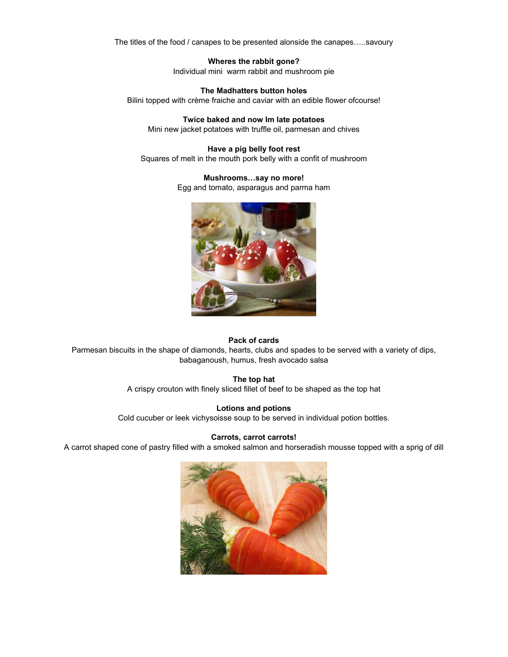The titles of the food / canapes to be presented alonside the canapes…..savoury

**Wheres the rabbit gone?**  Individual mini warm rabbit and mushroom pie

**The Madhatters button holes**  Bilini topped with crème fraiche and caviar with an edible flower ofcourse!

**Twice baked and now Im late potatoes**  Mini new jacket potatoes with truffle oil, parmesan and chives

**Have a pig belly foot rest**  Squares of melt in the mouth pork belly with a confit of mushroom

#### **Mushrooms…say no more!**

Egg and tomato, asparagus and parma ham



#### **Pack of cards**

Parmesan biscuits in the shape of diamonds, hearts, clubs and spades to be served with a variety of dips, babaganoush, humus, fresh avocado salsa

## **The top hat**

A crispy crouton with finely sliced fillet of beef to be shaped as the top hat

# **Lotions and potions**

Cold cucuber or leek vichysoisse soup to be served in individual potion bottles.

#### **Carrots, carrot carrots!**

A carrot shaped cone of pastry filled with a smoked salmon and horseradish mousse topped with a sprig of dill